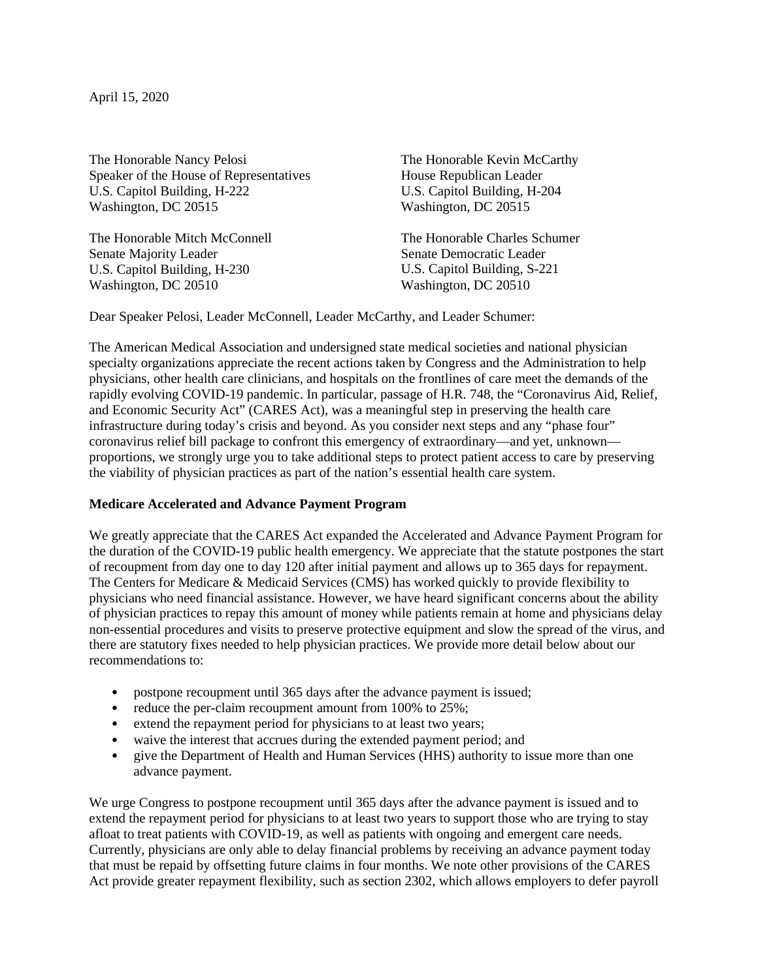April 15, 2020

The Honorable Nancy Pelosi Speaker of the House of Representatives U.S. Capitol Building, H-222 Washington, DC 20515

The Honorable Mitch McConnell Senate Majority Leader U.S. Capitol Building, H-230 Washington, DC 20510

The Honorable Kevin McCarthy House Republican Leader U.S. Capitol Building, H-204 Washington, DC 20515

The Honorable Charles Schumer Senate Democratic Leader U.S. Capitol Building, S-221 Washington, DC 20510

Dear Speaker Pelosi, Leader McConnell, Leader McCarthy, and Leader Schumer:

The American Medical Association and undersigned state medical societies and national physician specialty organizations appreciate the recent actions taken by Congress and the Administration to help physicians, other health care clinicians, and hospitals on the frontlines of care meet the demands of the rapidly evolving COVID-19 pandemic. In particular, passage of H.R. 748, the "Coronavirus Aid, Relief, and Economic Security Act" (CARES Act), was a meaningful step in preserving the health care infrastructure during today's crisis and beyond. As you consider next steps and any "phase four" coronavirus relief bill package to confront this emergency of extraordinary—and yet, unknown proportions, we strongly urge you to take additional steps to protect patient access to care by preserving the viability of physician practices as part of the nation's essential health care system.

### **Medicare Accelerated and Advance Payment Program**

We greatly appreciate that the CARES Act expanded the Accelerated and Advance Payment Program for the duration of the COVID-19 public health emergency. We appreciate that the statute postpones the start of recoupment from day one to day 120 after initial payment and allows up to 365 days for repayment. The Centers for Medicare & Medicaid Services (CMS) has worked quickly to provide flexibility to physicians who need financial assistance. However, we have heard significant concerns about the ability of physician practices to repay this amount of money while patients remain at home and physicians delay non-essential procedures and visits to preserve protective equipment and slow the spread of the virus, and there are statutory fixes needed to help physician practices. We provide more detail below about our recommendations to:

- postpone recoupment until 365 days after the advance payment is issued;
- reduce the per-claim recoupment amount from 100% to 25%;
- extend the repayment period for physicians to at least two years;
- waive the interest that accrues during the extended payment period; and
- give the Department of Health and Human Services (HHS) authority to issue more than one advance payment.

We urge Congress to postpone recoupment until 365 days after the advance payment is issued and to extend the repayment period for physicians to at least two years to support those who are trying to stay afloat to treat patients with COVID-19, as well as patients with ongoing and emergent care needs. Currently, physicians are only able to delay financial problems by receiving an advance payment today that must be repaid by offsetting future claims in four months. We note other provisions of the CARES Act provide greater repayment flexibility, such as section 2302, which allows employers to defer payroll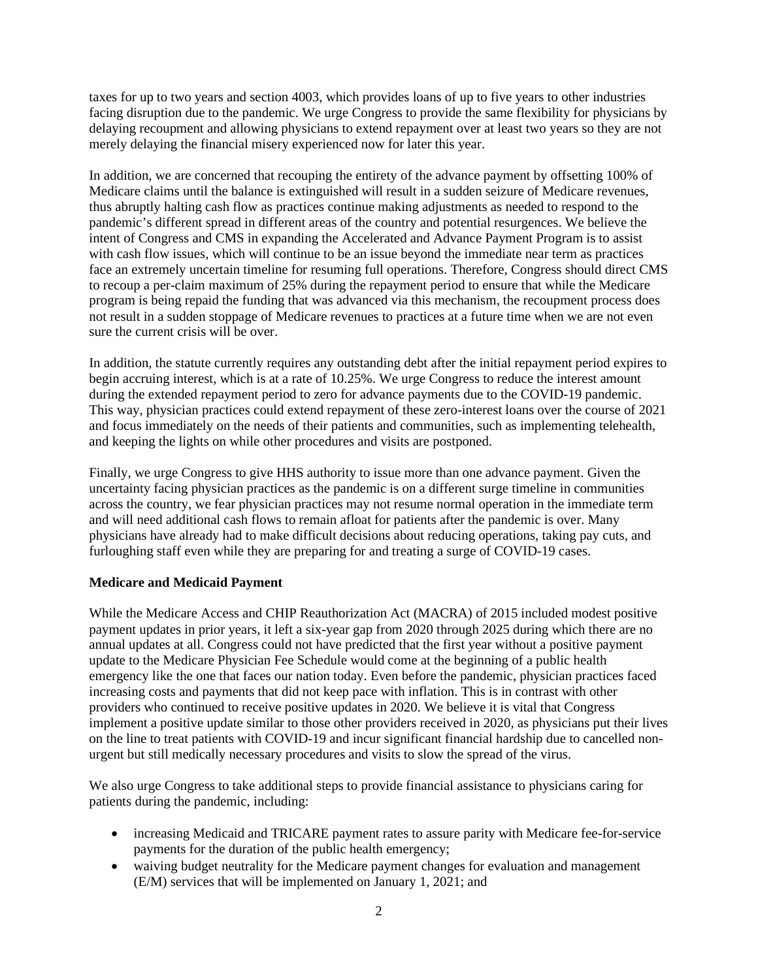taxes for up to two years and section 4003, which provides loans of up to five years to other industries facing disruption due to the pandemic. We urge Congress to provide the same flexibility for physicians by delaying recoupment and allowing physicians to extend repayment over at least two years so they are not merely delaying the financial misery experienced now for later this year.

In addition, we are concerned that recouping the entirety of the advance payment by offsetting 100% of Medicare claims until the balance is extinguished will result in a sudden seizure of Medicare revenues, thus abruptly halting cash flow as practices continue making adjustments as needed to respond to the pandemic's different spread in different areas of the country and potential resurgences. We believe the intent of Congress and CMS in expanding the Accelerated and Advance Payment Program is to assist with cash flow issues, which will continue to be an issue beyond the immediate near term as practices face an extremely uncertain timeline for resuming full operations. Therefore, Congress should direct CMS to recoup a per-claim maximum of 25% during the repayment period to ensure that while the Medicare program is being repaid the funding that was advanced via this mechanism, the recoupment process does not result in a sudden stoppage of Medicare revenues to practices at a future time when we are not even sure the current crisis will be over.

In addition, the statute currently requires any outstanding debt after the initial repayment period expires to begin accruing interest, which is at a rate of 10.25%. We urge Congress to reduce the interest amount during the extended repayment period to zero for advance payments due to the COVID-19 pandemic. This way, physician practices could extend repayment of these zero-interest loans over the course of 2021 and focus immediately on the needs of their patients and communities, such as implementing telehealth, and keeping the lights on while other procedures and visits are postponed.

Finally, we urge Congress to give HHS authority to issue more than one advance payment. Given the uncertainty facing physician practices as the pandemic is on a different surge timeline in communities across the country, we fear physician practices may not resume normal operation in the immediate term and will need additional cash flows to remain afloat for patients after the pandemic is over. Many physicians have already had to make difficult decisions about reducing operations, taking pay cuts, and furloughing staff even while they are preparing for and treating a surge of COVID-19 cases.

# **Medicare and Medicaid Payment**

While the Medicare Access and CHIP Reauthorization Act (MACRA) of 2015 included modest positive payment updates in prior years, it left a six-year gap from 2020 through 2025 during which there are no annual updates at all. Congress could not have predicted that the first year without a positive payment update to the Medicare Physician Fee Schedule would come at the beginning of a public health emergency like the one that faces our nation today. Even before the pandemic, physician practices faced increasing costs and payments that did not keep pace with inflation. This is in contrast with other providers who continued to receive positive updates in 2020. We believe it is vital that Congress implement a positive update similar to those other providers received in 2020, as physicians put their lives on the line to treat patients with COVID-19 and incur significant financial hardship due to cancelled nonurgent but still medically necessary procedures and visits to slow the spread of the virus.

We also urge Congress to take additional steps to provide financial assistance to physicians caring for patients during the pandemic, including:

- increasing Medicaid and TRICARE payment rates to assure parity with Medicare fee-for-service payments for the duration of the public health emergency;
- waiving budget neutrality for the Medicare payment changes for evaluation and management (E/M) services that will be implemented on January 1, 2021; and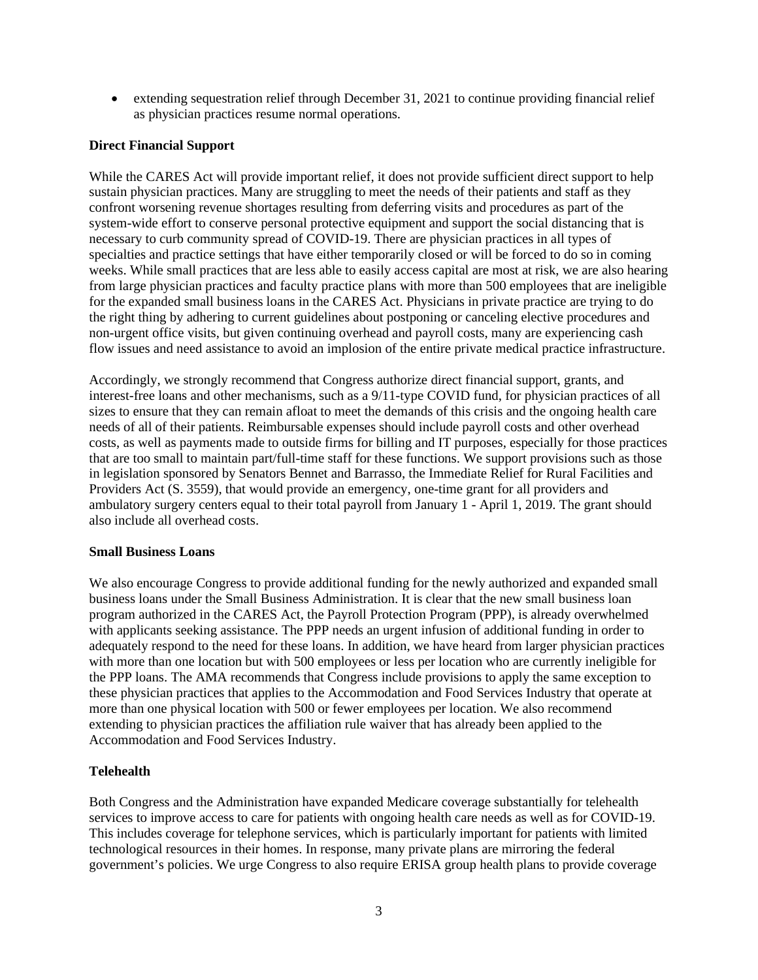• extending sequestration relief through December 31, 2021 to continue providing financial relief as physician practices resume normal operations.

#### **Direct Financial Support**

While the CARES Act will provide important relief, it does not provide sufficient direct support to help sustain physician practices. Many are struggling to meet the needs of their patients and staff as they confront worsening revenue shortages resulting from deferring visits and procedures as part of the system-wide effort to conserve personal protective equipment and support the social distancing that is necessary to curb community spread of COVID-19. There are physician practices in all types of specialties and practice settings that have either temporarily closed or will be forced to do so in coming weeks. While small practices that are less able to easily access capital are most at risk, we are also hearing from large physician practices and faculty practice plans with more than 500 employees that are ineligible for the expanded small business loans in the CARES Act. Physicians in private practice are trying to do the right thing by adhering to current guidelines about postponing or canceling elective procedures and non-urgent office visits, but given continuing overhead and payroll costs, many are experiencing cash flow issues and need assistance to avoid an implosion of the entire private medical practice infrastructure.

Accordingly, we strongly recommend that Congress authorize direct financial support, grants, and interest-free loans and other mechanisms, such as a 9/11-type COVID fund, for physician practices of all sizes to ensure that they can remain afloat to meet the demands of this crisis and the ongoing health care needs of all of their patients. Reimbursable expenses should include payroll costs and other overhead costs, as well as payments made to outside firms for billing and IT purposes, especially for those practices that are too small to maintain part/full-time staff for these functions. We support provisions such as those in legislation sponsored by Senators Bennet and Barrasso, the Immediate Relief for Rural Facilities and Providers Act (S. 3559), that would provide an emergency, one-time grant for all providers and ambulatory surgery centers equal to their total payroll from January 1 - April 1, 2019. The grant should also include all overhead costs.

#### **Small Business Loans**

We also encourage Congress to provide additional funding for the newly authorized and expanded small business loans under the Small Business Administration. It is clear that the new small business loan program authorized in the CARES Act, the Payroll Protection Program (PPP), is already overwhelmed with applicants seeking assistance. The PPP needs an urgent infusion of additional funding in order to adequately respond to the need for these loans. In addition, we have heard from larger physician practices with more than one location but with 500 employees or less per location who are currently ineligible for the PPP loans. The AMA recommends that Congress include provisions to apply the same exception to these physician practices that applies to the Accommodation and Food Services Industry that operate at more than one physical location with 500 or fewer employees per location. We also recommend extending to physician practices the affiliation rule waiver that has already been applied to the Accommodation and Food Services Industry.

### **Telehealth**

Both Congress and the Administration have expanded Medicare coverage substantially for telehealth services to improve access to care for patients with ongoing health care needs as well as for COVID-19. This includes coverage for telephone services, which is particularly important for patients with limited technological resources in their homes. In response, many private plans are mirroring the federal government's policies. We urge Congress to also require ERISA group health plans to provide coverage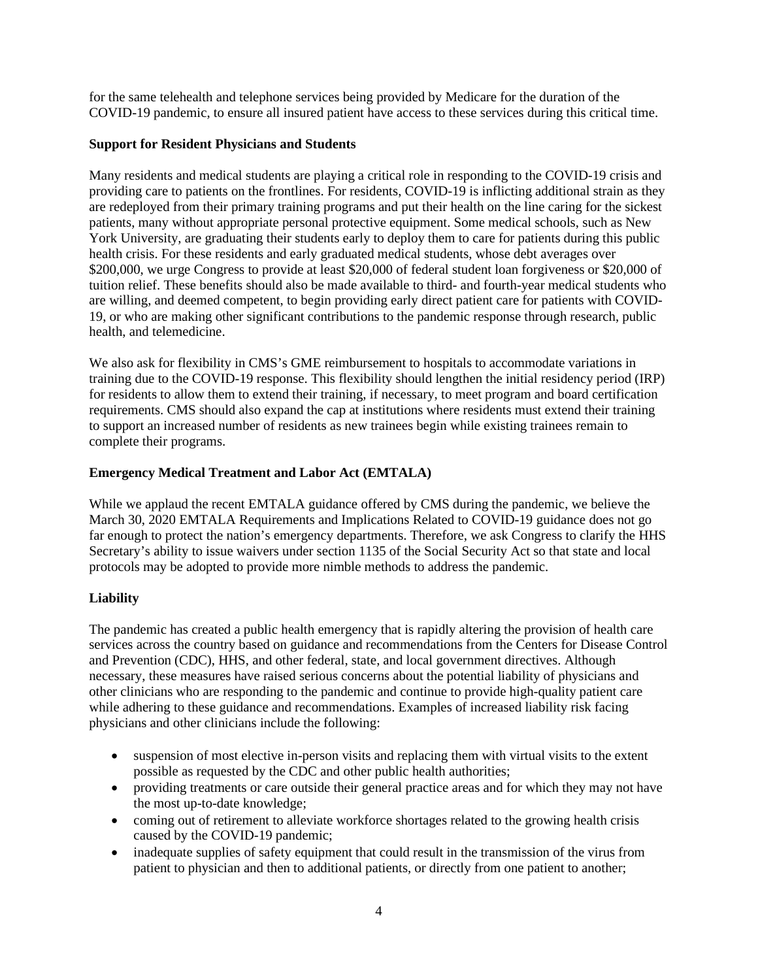for the same telehealth and telephone services being provided by Medicare for the duration of the COVID-19 pandemic, to ensure all insured patient have access to these services during this critical time.

### **Support for Resident Physicians and Students**

Many residents and medical students are playing a critical role in responding to the COVID-19 crisis and providing care to patients on the frontlines. For residents, COVID-19 is inflicting additional strain as they are redeployed from their primary training programs and put their health on the line caring for the sickest patients, many without appropriate personal protective equipment. Some medical schools, such as New York University, are graduating their students early to deploy them to care for patients during this public health crisis. For these residents and early graduated medical students, whose debt averages over \$200,000, we urge Congress to provide at least \$20,000 of federal student loan forgiveness or \$20,000 of tuition relief. These benefits should also be made available to third- and fourth-year medical students who are willing, and deemed competent, to begin providing early direct patient care for patients with COVID-19, or who are making other significant contributions to the pandemic response through research, public health, and telemedicine.

We also ask for flexibility in CMS's GME reimbursement to hospitals to accommodate variations in training due to the COVID-19 response. This flexibility should lengthen the initial residency period (IRP) for residents to allow them to extend their training, if necessary, to meet program and board certification requirements. CMS should also expand the cap at institutions where residents must extend their training to support an increased number of residents as new trainees begin while existing trainees remain to complete their programs.

# **Emergency Medical Treatment and Labor Act (EMTALA)**

While we applaud the recent EMTALA guidance offered by CMS during the pandemic, we believe the March 30, 2020 EMTALA Requirements and Implications Related to COVID-19 guidance does not go far enough to protect the nation's emergency departments. Therefore, we ask Congress to clarify the HHS Secretary's ability to issue waivers under section 1135 of the Social Security Act so that state and local protocols may be adopted to provide more nimble methods to address the pandemic.

# **Liability**

The pandemic has created a public health emergency that is rapidly altering the provision of health care services across the country based on guidance and recommendations from the Centers for Disease Control and Prevention (CDC), HHS, and other federal, state, and local government directives. Although necessary, these measures have raised serious concerns about the potential liability of physicians and other clinicians who are responding to the pandemic and continue to provide high-quality patient care while adhering to these guidance and recommendations. Examples of increased liability risk facing physicians and other clinicians include the following:

- suspension of most elective in-person visits and replacing them with virtual visits to the extent possible as requested by the CDC and other public health authorities;
- providing treatments or care outside their general practice areas and for which they may not have the most up-to-date knowledge;
- coming out of retirement to alleviate workforce shortages related to the growing health crisis caused by the COVID-19 pandemic;
- inadequate supplies of safety equipment that could result in the transmission of the virus from patient to physician and then to additional patients, or directly from one patient to another;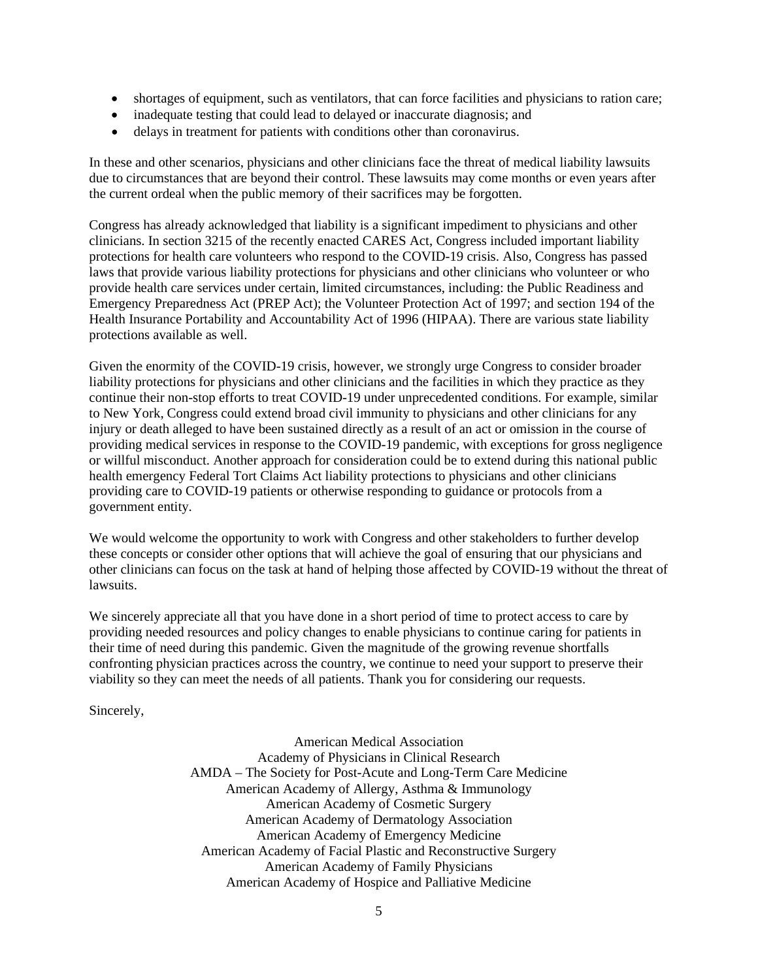- shortages of equipment, such as ventilators, that can force facilities and physicians to ration care;
- inadequate testing that could lead to delayed or inaccurate diagnosis; and
- delays in treatment for patients with conditions other than coronavirus.

In these and other scenarios, physicians and other clinicians face the threat of medical liability lawsuits due to circumstances that are beyond their control. These lawsuits may come months or even years after the current ordeal when the public memory of their sacrifices may be forgotten.

Congress has already acknowledged that liability is a significant impediment to physicians and other clinicians. In section 3215 of the recently enacted CARES Act, Congress included important liability protections for health care volunteers who respond to the COVID-19 crisis. Also, Congress has passed laws that provide various liability protections for physicians and other clinicians who volunteer or who provide health care services under certain, limited circumstances, including: the Public Readiness and Emergency Preparedness Act (PREP Act); the Volunteer Protection Act of 1997; and section 194 of the Health Insurance Portability and Accountability Act of 1996 (HIPAA). There are various state liability protections available as well.

Given the enormity of the COVID-19 crisis, however, we strongly urge Congress to consider broader liability protections for physicians and other clinicians and the facilities in which they practice as they continue their non-stop efforts to treat COVID-19 under unprecedented conditions. For example, similar to New York, Congress could extend broad civil immunity to physicians and other clinicians for any injury or death alleged to have been sustained directly as a result of an act or omission in the course of providing medical services in response to the COVID-19 pandemic, with exceptions for gross negligence or willful misconduct. Another approach for consideration could be to extend during this national public health emergency Federal Tort Claims Act liability protections to physicians and other clinicians providing care to COVID-19 patients or otherwise responding to guidance or protocols from a government entity.

We would welcome the opportunity to work with Congress and other stakeholders to further develop these concepts or consider other options that will achieve the goal of ensuring that our physicians and other clinicians can focus on the task at hand of helping those affected by COVID-19 without the threat of lawsuits.

We sincerely appreciate all that you have done in a short period of time to protect access to care by providing needed resources and policy changes to enable physicians to continue caring for patients in their time of need during this pandemic. Given the magnitude of the growing revenue shortfalls confronting physician practices across the country, we continue to need your support to preserve their viability so they can meet the needs of all patients. Thank you for considering our requests.

Sincerely,

American Medical Association Academy of Physicians in Clinical Research AMDA – The Society for Post-Acute and Long-Term Care Medicine American Academy of Allergy, Asthma & Immunology American Academy of Cosmetic Surgery American Academy of Dermatology Association American Academy of Emergency Medicine American Academy of Facial Plastic and Reconstructive Surgery American Academy of Family Physicians American Academy of Hospice and Palliative Medicine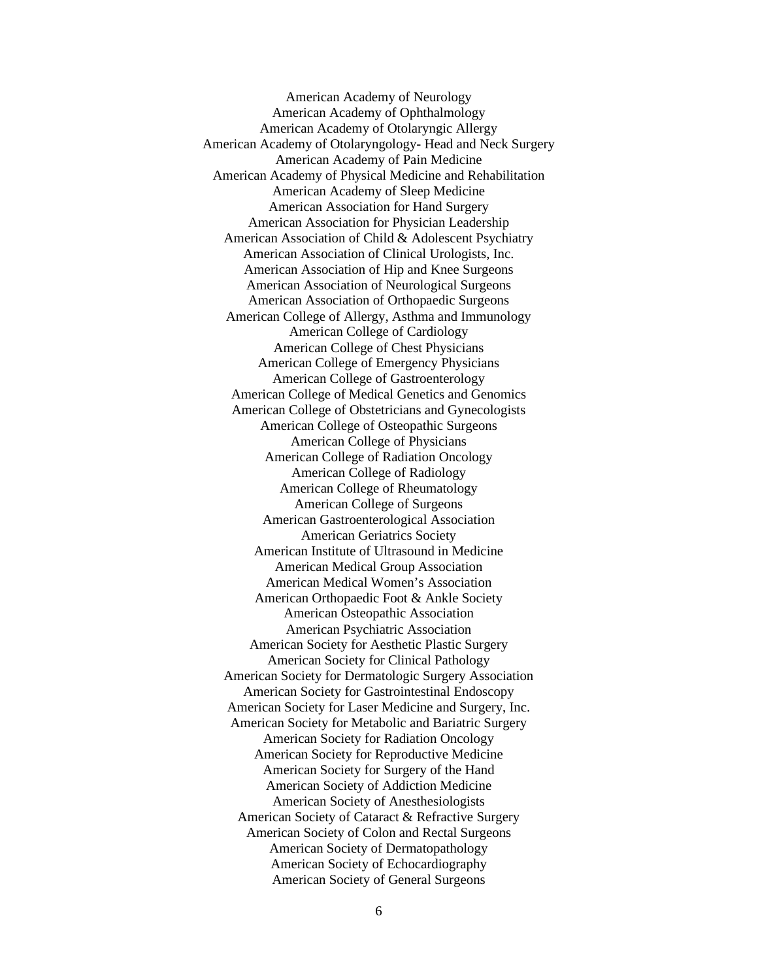American Academy of Neurology American Academy of Ophthalmology American Academy of Otolaryngic Allergy American Academy of Otolaryngology- Head and Neck Surgery American Academy of Pain Medicine American Academy of Physical Medicine and Rehabilitation American Academy of Sleep Medicine American Association for Hand Surgery American Association for Physician Leadership American Association of Child & Adolescent Psychiatry American Association of Clinical Urologists, Inc. American Association of Hip and Knee Surgeons American Association of Neurological Surgeons American Association of Orthopaedic Surgeons American College of Allergy, Asthma and Immunology American College of Cardiology American College of Chest Physicians American College of Emergency Physicians American College of Gastroenterology American College of Medical Genetics and Genomics American College of Obstetricians and Gynecologists American College of Osteopathic Surgeons American College of Physicians American College of Radiation Oncology American College of Radiology American College of Rheumatology American College of Surgeons American Gastroenterological Association American Geriatrics Society American Institute of Ultrasound in Medicine American Medical Group Association American Medical Women's Association American Orthopaedic Foot & Ankle Society American Osteopathic Association American Psychiatric Association American Society for Aesthetic Plastic Surgery American Society for Clinical Pathology American Society for Dermatologic Surgery Association American Society for Gastrointestinal Endoscopy American Society for Laser Medicine and Surgery, Inc. American Society for Metabolic and Bariatric Surgery American Society for Radiation Oncology American Society for Reproductive Medicine American Society for Surgery of the Hand American Society of Addiction Medicine American Society of Anesthesiologists American Society of Cataract & Refractive Surgery American Society of Colon and Rectal Surgeons American Society of Dermatopathology American Society of Echocardiography American Society of General Surgeons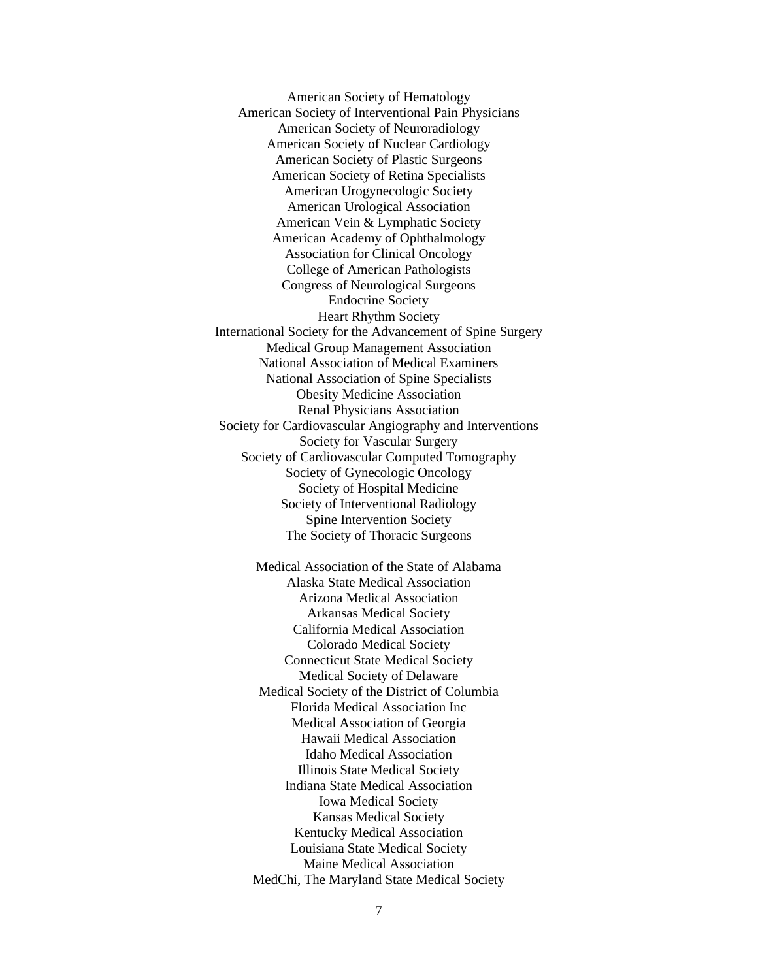American Society of Hematology American Society of Interventional Pain Physicians American Society of Neuroradiology American Society of Nuclear Cardiology American Society of Plastic Surgeons American Society of Retina Specialists American Urogynecologic Society American Urological Association American Vein & Lymphatic Society American Academy of Ophthalmology Association for Clinical Oncology College of American Pathologists Congress of Neurological Surgeons Endocrine Society Heart Rhythm Society International Society for the Advancement of Spine Surgery Medical Group Management Association National Association of Medical Examiners National Association of Spine Specialists Obesity Medicine Association Renal Physicians Association Society for Cardiovascular Angiography and Interventions Society for Vascular Surgery Society of Cardiovascular Computed Tomography Society of Gynecologic Oncology Society of Hospital Medicine Society of Interventional Radiology Spine Intervention Society The Society of Thoracic Surgeons

> Medical Association of the State of Alabama Alaska State Medical Association Arizona Medical Association Arkansas Medical Society California Medical Association Colorado Medical Society Connecticut State Medical Society Medical Society of Delaware Medical Society of the District of Columbia Florida Medical Association Inc Medical Association of Georgia Hawaii Medical Association Idaho Medical Association Illinois State Medical Society Indiana State Medical Association Iowa Medical Society Kansas Medical Society Kentucky Medical Association Louisiana State Medical Society Maine Medical Association MedChi, The Maryland State Medical Society